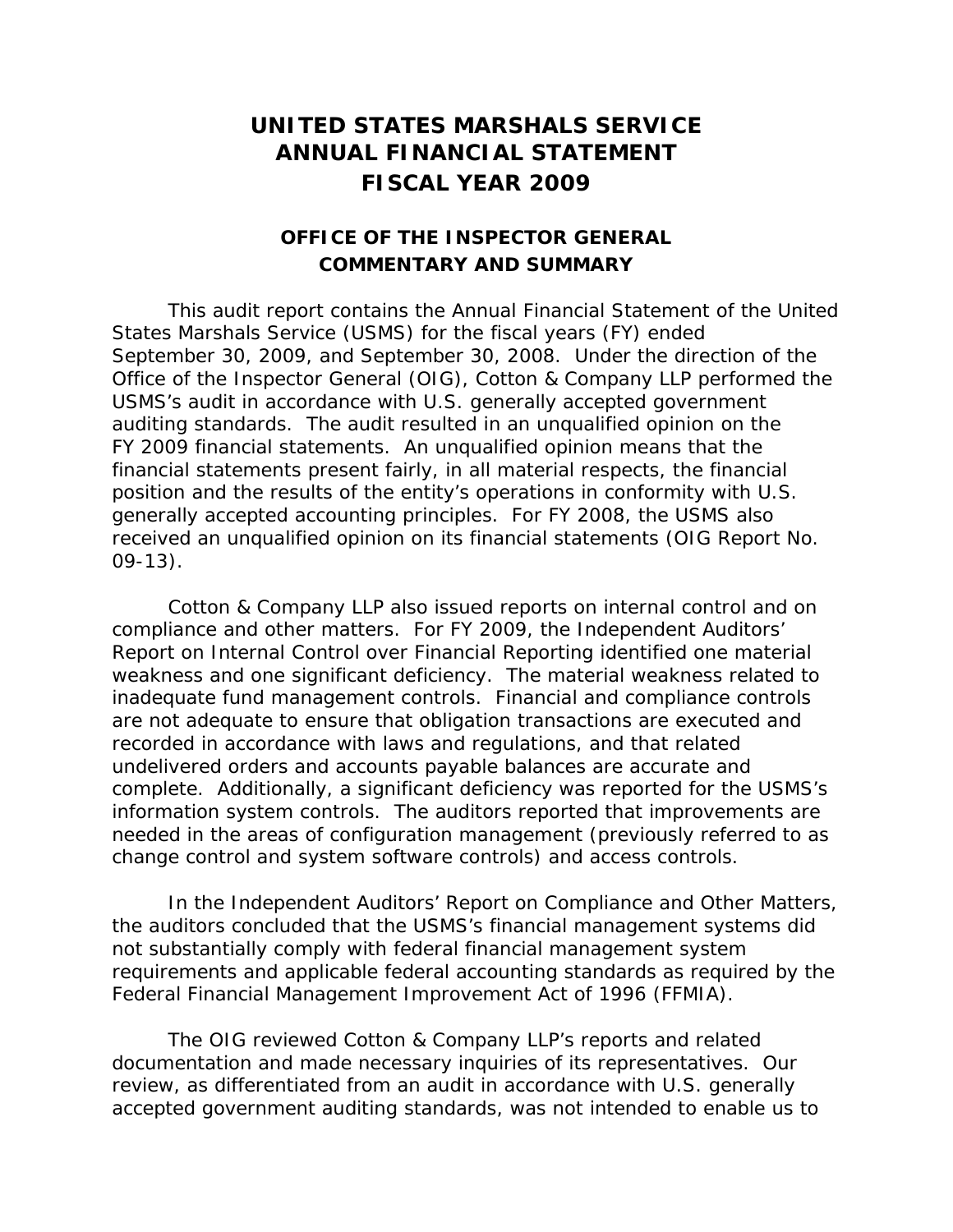## **UNITED STATES MARSHALS SERVICE ANNUAL FINANCIAL STATEMENT FISCAL YEAR 2009**

## **OFFICE OF THE INSPECTOR GENERAL COMMENTARY AND SUMMARY**

This audit report contains the Annual Financial Statement of the United States Marshals Service (USMS) for the fiscal years (FY) ended September 30, 2009, and September 30, 2008. Under the direction of the Office of the Inspector General (OIG), Cotton & Company LLP performed the USMS's audit in accordance with U.S. generally accepted government auditing standards. The audit resulted in an unqualified opinion on the FY 2009 financial statements. An unqualified opinion means that the financial statements present fairly, in all material respects, the financial position and the results of the entity's operations in conformity with U.S. generally accepted accounting principles. For FY 2008, the USMS also received an unqualified opinion on its financial statements (OIG Report No. 09-13).

Cotton & Company LLP also issued reports on internal control and on compliance and other matters. For FY 2009, the *Independent Auditors' Report on Internal Control over Financial Reporting* identified one material weakness and one significant deficiency. The material weakness related to inadequate fund management controls. Financial and compliance controls are not adequate to ensure that obligation transactions are executed and recorded in accordance with laws and regulations, and that related undelivered orders and accounts payable balances are accurate and complete. Additionally, a significant deficiency was reported for the USMS's information system controls. The auditors reported that improvements are needed in the areas of configuration management (previously referred to as change control and system software controls) and access controls.

In the *Independent Auditors' Report on Compliance and Other Matters,* the auditors concluded that the USMS's financial management systems did not substantially comply with federal financial management system requirements and applicable federal accounting standards as required by the *Federal Financial Management Improvement Act of 1996 (FFMIA)*.

The OIG reviewed Cotton & Company LLP's reports and related documentation and made necessary inquiries of its representatives. Our review, as differentiated from an audit in accordance with U.S. generally accepted government auditing standards, was not intended to enable us to